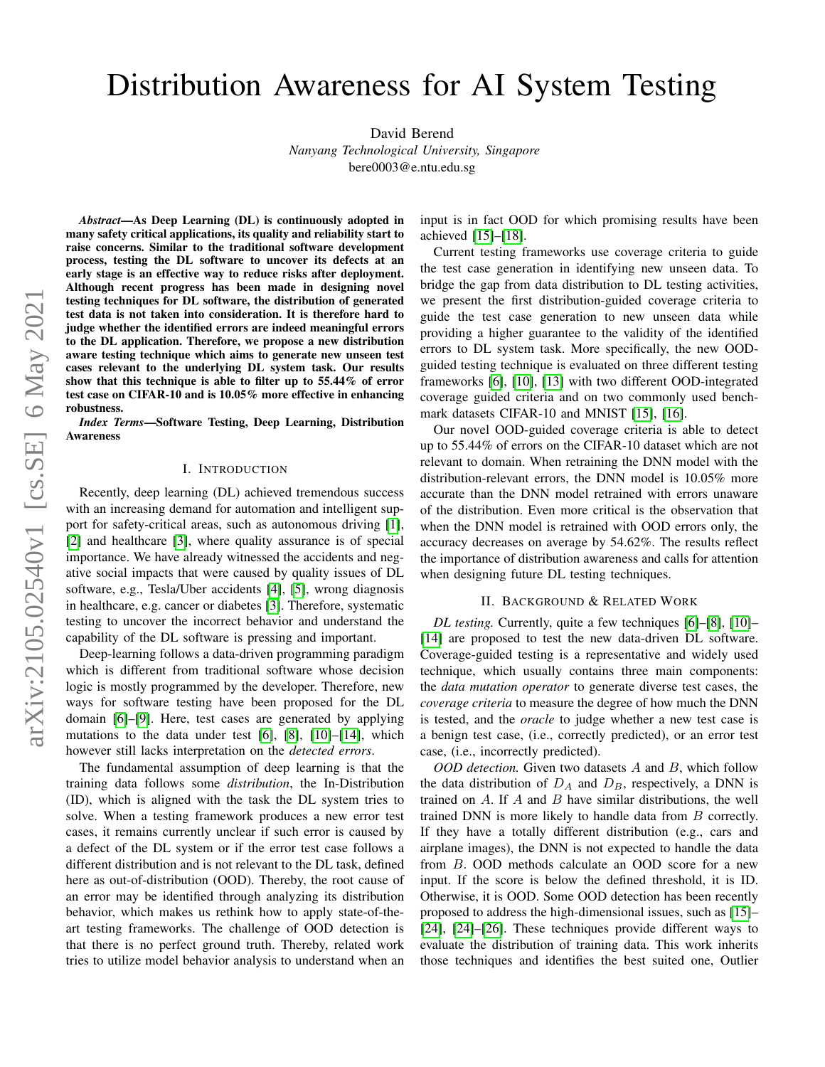# Distribution Awareness for AI System Testing

David Berend *Nanyang Technological University, Singapore*

bere0003@e.ntu.edu.sg

*Abstract*—As Deep Learning (DL) is continuously adopted in many safety critical applications, its quality and reliability start to raise concerns. Similar to the traditional software development process, testing the DL software to uncover its defects at an early stage is an effective way to reduce risks after deployment. Although recent progress has been made in designing novel testing techniques for DL software, the distribution of generated test data is not taken into consideration. It is therefore hard to judge whether the identified errors are indeed meaningful errors to the DL application. Therefore, we propose a new distribution aware testing technique which aims to generate new unseen test cases relevant to the underlying DL system task. Our results show that this technique is able to filter up to 55.44% of error test case on CIFAR-10 and is 10.05% more effective in enhancing robustness.

*Index Terms*—Software Testing, Deep Learning, Distribution Awareness

#### I. INTRODUCTION

Recently, deep learning (DL) achieved tremendous success with an increasing demand for automation and intelligent support for safety-critical areas, such as autonomous driving [\[1\]](#page-2-0), [\[2\]](#page-2-1) and healthcare [\[3\]](#page-2-2), where quality assurance is of special importance. We have already witnessed the accidents and negative social impacts that were caused by quality issues of DL software, e.g., Tesla/Uber accidents [\[4\]](#page-2-3), [\[5\]](#page-2-4), wrong diagnosis in healthcare, e.g. cancer or diabetes [\[3\]](#page-2-2). Therefore, systematic testing to uncover the incorrect behavior and understand the capability of the DL software is pressing and important.

Deep-learning follows a data-driven programming paradigm which is different from traditional software whose decision logic is mostly programmed by the developer. Therefore, new ways for software testing have been proposed for the DL domain [\[6\]](#page-2-5)–[\[9\]](#page-2-6). Here, test cases are generated by applying mutations to the data under test [\[6\]](#page-2-5), [\[8\]](#page-2-7), [\[10\]](#page-2-8)–[\[14\]](#page-2-9), which however still lacks interpretation on the *detected errors*.

The fundamental assumption of deep learning is that the training data follows some *distribution*, the In-Distribution (ID), which is aligned with the task the DL system tries to solve. When a testing framework produces a new error test cases, it remains currently unclear if such error is caused by a defect of the DL system or if the error test case follows a different distribution and is not relevant to the DL task, defined here as out-of-distribution (OOD). Thereby, the root cause of an error may be identified through analyzing its distribution behavior, which makes us rethink how to apply state-of-theart testing frameworks. The challenge of OOD detection is that there is no perfect ground truth. Thereby, related work tries to utilize model behavior analysis to understand when an input is in fact OOD for which promising results have been achieved [\[15\]](#page-2-10)–[\[18\]](#page-2-11).

Current testing frameworks use coverage criteria to guide the test case generation in identifying new unseen data. To bridge the gap from data distribution to DL testing activities, we present the first distribution-guided coverage criteria to guide the test case generation to new unseen data while providing a higher guarantee to the validity of the identified errors to DL system task. More specifically, the new OODguided testing technique is evaluated on three different testing frameworks [\[6\]](#page-2-5), [\[10\]](#page-2-8), [\[13\]](#page-2-12) with two different OOD-integrated coverage guided criteria and on two commonly used benchmark datasets CIFAR-10 and MNIST [\[15\]](#page-2-10), [\[16\]](#page-2-13).

Our novel OOD-guided coverage criteria is able to detect up to 55.44% of errors on the CIFAR-10 dataset which are not relevant to domain. When retraining the DNN model with the distribution-relevant errors, the DNN model is 10.05% more accurate than the DNN model retrained with errors unaware of the distribution. Even more critical is the observation that when the DNN model is retrained with OOD errors only, the accuracy decreases on average by 54.62%. The results reflect the importance of distribution awareness and calls for attention when designing future DL testing techniques.

## II. BACKGROUND & RELATED WORK

*DL testing.* Currently, quite a few techniques [\[6\]](#page-2-5)–[\[8\]](#page-2-7), [\[10\]](#page-2-8)– [\[14\]](#page-2-9) are proposed to test the new data-driven DL software. Coverage-guided testing is a representative and widely used technique, which usually contains three main components: the *data mutation operator* to generate diverse test cases, the *coverage criteria* to measure the degree of how much the DNN is tested, and the *oracle* to judge whether a new test case is a benign test case, (i.e., correctly predicted), or an error test case, (i.e., incorrectly predicted).

*OOD detection.* Given two datasets A and B, which follow the data distribution of  $D_A$  and  $D_B$ , respectively, a DNN is trained on  $A$ . If  $A$  and  $B$  have similar distributions, the well trained DNN is more likely to handle data from B correctly. If they have a totally different distribution (e.g., cars and airplane images), the DNN is not expected to handle the data from B. OOD methods calculate an OOD score for a new input. If the score is below the defined threshold, it is ID. Otherwise, it is OOD. Some OOD detection has been recently proposed to address the high-dimensional issues, such as [\[15\]](#page-2-10)– [\[24\]](#page-2-14), [24]–[\[26\]](#page-2-15). These techniques provide different ways to evaluate the distribution of training data. This work inherits those techniques and identifies the best suited one, Outlier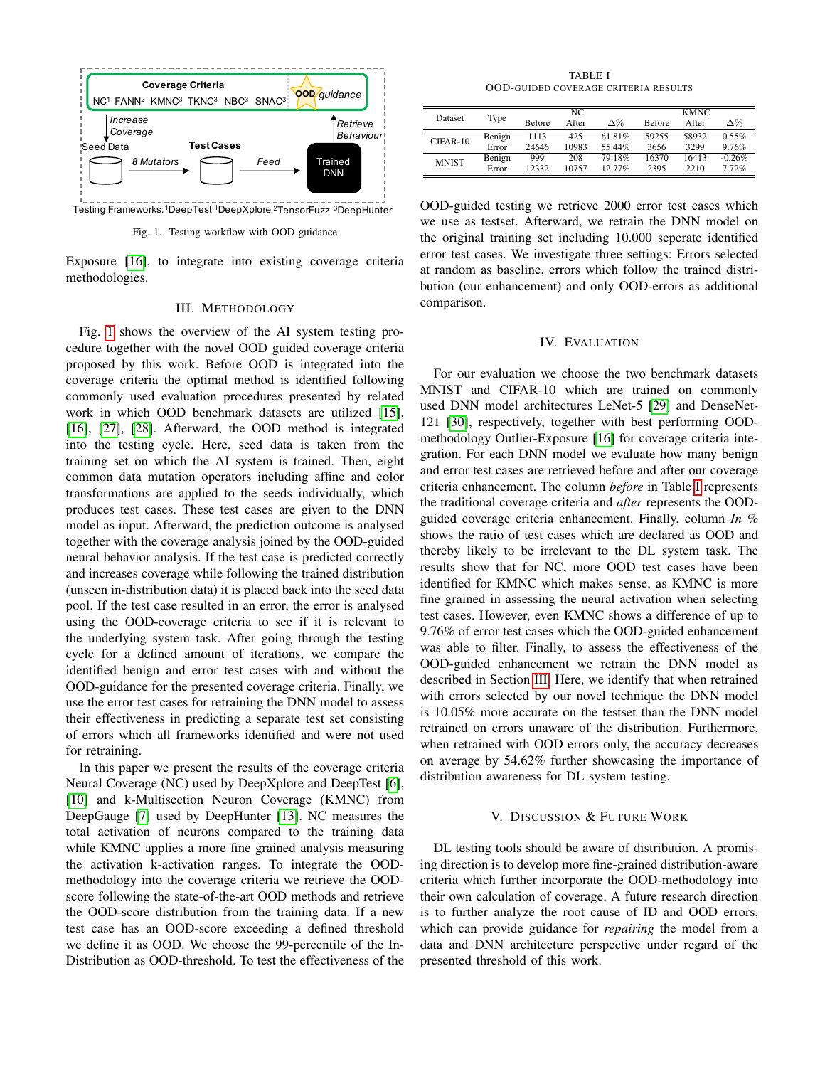

Testing Frameworks: <sup>1</sup>DeepTest <sup>1</sup>DeepXplore <sup>2</sup>TensorFuzz <sup>3</sup>DeepHunter

<span id="page-1-0"></span>Fig. 1. Testing workflow with OOD guidance

Exposure [\[16\]](#page-2-13), to integrate into existing coverage criteria methodologies.

#### III. METHODOLOGY

<span id="page-1-2"></span>Fig. [1](#page-1-0) shows the overview of the AI system testing procedure together with the novel OOD guided coverage criteria proposed by this work. Before OOD is integrated into the coverage criteria the optimal method is identified following commonly used evaluation procedures presented by related work in which OOD benchmark datasets are utilized [\[15\]](#page-2-10), [\[16\]](#page-2-13), [\[27\]](#page-2-16), [\[28\]](#page-2-17). Afterward, the OOD method is integrated into the testing cycle. Here, seed data is taken from the training set on which the AI system is trained. Then, eight common data mutation operators including affine and color transformations are applied to the seeds individually, which produces test cases. These test cases are given to the DNN model as input. Afterward, the prediction outcome is analysed together with the coverage analysis joined by the OOD-guided neural behavior analysis. If the test case is predicted correctly and increases coverage while following the trained distribution (unseen in-distribution data) it is placed back into the seed data pool. If the test case resulted in an error, the error is analysed using the OOD-coverage criteria to see if it is relevant to the underlying system task. After going through the testing cycle for a defined amount of iterations, we compare the identified benign and error test cases with and without the OOD-guidance for the presented coverage criteria. Finally, we use the error test cases for retraining the DNN model to assess their effectiveness in predicting a separate test set consisting of errors which all frameworks identified and were not used for retraining.

In this paper we present the results of the coverage criteria Neural Coverage (NC) used by DeepXplore and DeepTest [\[6\]](#page-2-5), [\[10\]](#page-2-8) and k-Multisection Neuron Coverage (KMNC) from DeepGauge [\[7\]](#page-2-18) used by DeepHunter [\[13\]](#page-2-12). NC measures the total activation of neurons compared to the training data while KMNC applies a more fine grained analysis measuring the activation k-activation ranges. To integrate the OODmethodology into the coverage criteria we retrieve the OODscore following the state-of-the-art OOD methods and retrieve the OOD-score distribution from the training data. If a new test case has an OOD-score exceeding a defined threshold we define it as OOD. We choose the 99-percentile of the In-Distribution as OOD-threshold. To test the effectiveness of the

TABLE I OOD-GUIDED COVERAGE CRITERIA RESULTS

<span id="page-1-1"></span>

| Dataset      | Type   | NC.           |       |           | <b>KMNC</b>   |       |          |
|--------------|--------|---------------|-------|-----------|---------------|-------|----------|
|              |        | <b>Before</b> | After | Δ%        | <b>Before</b> | After | Δ%       |
| $CIFAR-10$   | Benign | 1113          | 425   | 61 81%    | 59255         | 58932 | $0.55\%$ |
|              | Error  | 24646         | 10983 | 55.44%    | 3656          | 3299  | 9.76%    |
| <b>MNIST</b> | Benign | 999           | 208   | 79.18%    | 16370         | 16413 | $-0.26%$ |
|              | Error  | 12332         | 10757 | $12.77\%$ | 2395          | 2210  | 7.72%    |

OOD-guided testing we retrieve 2000 error test cases which we use as testset. Afterward, we retrain the DNN model on the original training set including 10.000 seperate identified error test cases. We investigate three settings: Errors selected at random as baseline, errors which follow the trained distribution (our enhancement) and only OOD-errors as additional comparison.

## IV. EVALUATION

For our evaluation we choose the two benchmark datasets MNIST and CIFAR-10 which are trained on commonly used DNN model architectures LeNet-5 [\[29\]](#page-2-19) and DenseNet-121 [\[30\]](#page-2-20), respectively, together with best performing OODmethodology Outlier-Exposure [\[16\]](#page-2-13) for coverage criteria integration. For each DNN model we evaluate how many benign and error test cases are retrieved before and after our coverage criteria enhancement. The column *before* in Table [I](#page-1-1) represents the traditional coverage criteria and *after* represents the OODguided coverage criteria enhancement. Finally, column *In %* shows the ratio of test cases which are declared as OOD and thereby likely to be irrelevant to the DL system task. The results show that for NC, more OOD test cases have been identified for KMNC which makes sense, as KMNC is more fine grained in assessing the neural activation when selecting test cases. However, even KMNC shows a difference of up to 9.76% of error test cases which the OOD-guided enhancement was able to filter. Finally, to assess the effectiveness of the OOD-guided enhancement we retrain the DNN model as described in Section [III.](#page-1-2) Here, we identify that when retrained with errors selected by our novel technique the DNN model is 10.05% more accurate on the testset than the DNN model retrained on errors unaware of the distribution. Furthermore, when retrained with OOD errors only, the accuracy decreases on average by 54.62% further showcasing the importance of distribution awareness for DL system testing.

#### V. DISCUSSION & FUTURE WORK

DL testing tools should be aware of distribution. A promising direction is to develop more fine-grained distribution-aware criteria which further incorporate the OOD-methodology into their own calculation of coverage. A future research direction is to further analyze the root cause of ID and OOD errors, which can provide guidance for *repairing* the model from a data and DNN architecture perspective under regard of the presented threshold of this work.